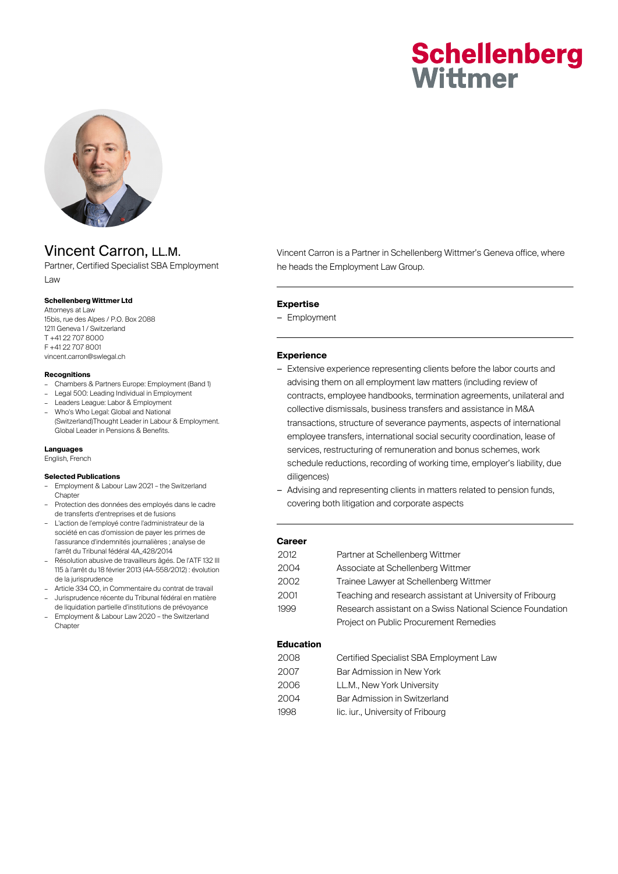# **Schellenberg** Wittmer



# Vincent Carron, LL.M.

Partner, Certified Specialist SBA Employment Law

# **Schellenberg Wittmer Ltd**

Attorneys at Law 15bis, rue des Alpes / P.O. Box 2088 1211 Geneva 1 / Switzerland T +41 22 707 8000 F +41 22 707 8001 vincent.carron@swlegal.ch

### **Recognitions**

- Chambers & Partners Europe: Employment (Band 1)
- Legal 500: Leading Individual in Employment
- Leaders League: Labor & Employment
- Who's Who Legal: Global and National (Switzerland)Thought Leader in Labour & Employment. Global Leader in Pensions & Benefits.

#### **Languages**

English, French

#### **Selected Publications**

- Employment & Labour Law 2021 the Switzerland Chapter
- Protection des données des employés dans le cadre de transferts d'entreprises et de fusions
- L'action de l'employé contre l'administrateur de la société en cas d'omission de payer les primes de l'assurance d'indemnités journalières ; analyse de l'arrêt du Tribunal fédéral 4A\_428/2014
- Résolution abusive de travailleurs âgés. De l'ATF 132 III 115 à l'arrêt du 18 février 2013 (4A-558/2012) : évolution de la jurisprudence
- Article 334 CO, in Commentaire du contrat de travail
- Jurisprudence récente du Tribunal fédéral en matière de liquidation partielle d'institutions de prévoyance
- Employment & Labour Law 2020 the Switzerland **Chapter**

# Vincent Carron is a Partner in Schellenberg Wittmer's Geneva office, where he heads the Employment Law Group.

#### **Expertise**

– Employment

#### **Experience**

- Extensive experience representing clients before the labor courts and advising them on all employment law matters (including review of contracts, employee handbooks, termination agreements, unilateral and collective dismissals, business transfers and assistance in M&A transactions, structure of severance payments, aspects of international employee transfers, international social security coordination, lease of services, restructuring of remuneration and bonus schemes, work schedule reductions, recording of working time, employer's liability, due diligences)
- Advising and representing clients in matters related to pension funds, covering both litigation and corporate aspects

#### **Career**

| 2012. | Partner at Schellenberg Wittmer                           |
|-------|-----------------------------------------------------------|
| 2004  | Associate at Schellenberg Wittmer                         |
| 2002  | Trainee Lawyer at Schellenberg Wittmer                    |
| 2001  | Teaching and research assistant at University of Fribourg |
| 1999  | Research assistant on a Swiss National Science Foundation |
|       | Project on Public Procurement Remedies                    |

#### **Education**

| 2008 | Certified Specialist SBA Employment Law |
|------|-----------------------------------------|
| 2007 | Bar Admission in New York               |
| 2006 | LL.M., New York University              |
| 2004 | Bar Admission in Switzerland            |
| 1998 | lic. iur., University of Fribourg       |